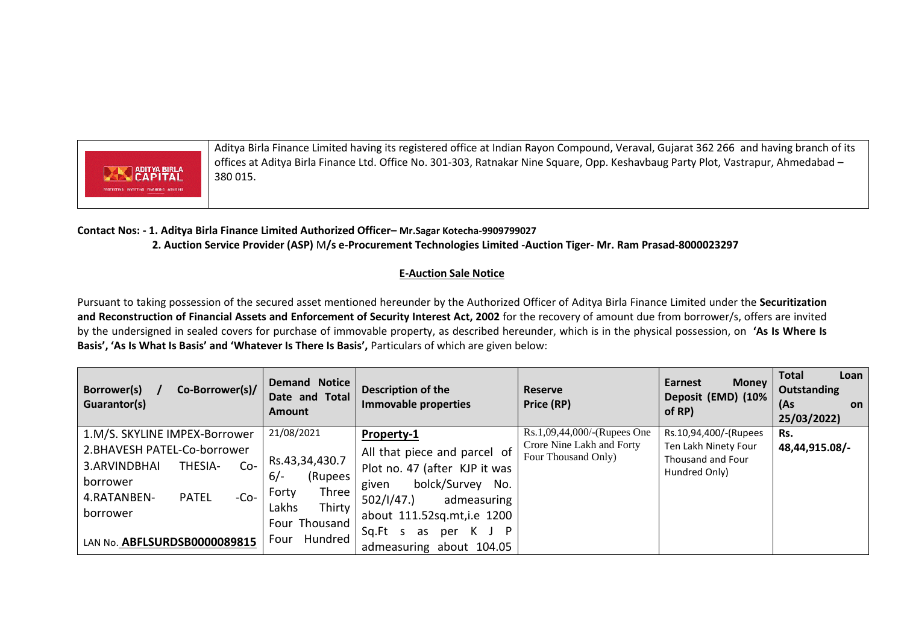

Aditya Birla Finance Limited having its registered office at Indian Rayon Compound, Veraval, Gujarat 362 266 and having branch of its offices at Aditya Birla Finance Ltd. Office No. 301-303, Ratnakar Nine Square, Opp. Keshavbaug Party Plot, Vastrapur, Ahmedabad – 380 015.

## **Contact Nos: - 1. Aditya Birla Finance Limited Authorized Officer– Mr.Sagar Kotecha-9909799027 2. Auction Service Provider (ASP)** M**/s e-Procurement Technologies Limited -Auction Tiger- Mr. Ram Prasad-8000023297**

## **E-Auction Sale Notice**

Pursuant to taking possession of the secured asset mentioned hereunder by the Authorized Officer of Aditya Birla Finance Limited under the **Securitization and Reconstruction of Financial Assets and Enforcement of Security Interest Act, 2002** for the recovery of amount due from borrower/s, offers are invited by the undersigned in sealed covers for purchase of immovable property, as described hereunder, which is in the physical possession, on **'As Is Where Is Basis', 'As Is What Is Basis' and 'Whatever Is There Is Basis',** Particulars of which are given below:

| Co-Borrower(s)/<br><b>Borrower(s)</b><br><b>Guarantor(s)</b>                                                                                                                                      | <b>Demand Notice</b><br>Date and Total<br><b>Amount</b>                                                                   | <b>Description of the</b><br><b>Immovable properties</b>                                                                                                                                                                            | <b>Reserve</b><br>Price (RP)                                                    | Earnest<br><b>Money</b><br>Deposit (EMD) (10%<br>of RP)                             | <b>Total</b><br>Loan<br>Outstanding<br>(A <sub>S</sub> )<br>on<br>25/03/2022) |
|---------------------------------------------------------------------------------------------------------------------------------------------------------------------------------------------------|---------------------------------------------------------------------------------------------------------------------------|-------------------------------------------------------------------------------------------------------------------------------------------------------------------------------------------------------------------------------------|---------------------------------------------------------------------------------|-------------------------------------------------------------------------------------|-------------------------------------------------------------------------------|
| 1.M/S. SKYLINE IMPEX-Borrower<br>2.BHAVESH PATEL-Co-borrower<br>3.ARVINDBHAI<br>THESIA-<br>$Co-$<br>borrower<br>4.RATANBEN-<br><b>PATEL</b><br>$-CO-$<br>borrower<br>LAN No. ABFLSURDSB0000089815 | 21/08/2021<br>Rs.43,34,430.7<br>$6/-$<br>(Rupees<br>Three<br>Forty<br>Thirty<br>Lakhs<br>Four Thousand<br>Hundred<br>Four | Property-1<br>All that piece and parcel of<br>Plot no. 47 (after KJP it was<br>bolck/Survey<br>No.<br>given<br>502/1/47.<br>admeasuring<br>about 111.52sq.mt, i.e 1200<br>Sq.Ft s<br>K J P<br>per<br>as<br>admeasuring about 104.05 | Rs.1,09,44,000/-(Rupees One<br>Crore Nine Lakh and Forty<br>Four Thousand Only) | Rs.10,94,400/-(Rupees<br>Ten Lakh Ninety Four<br>Thousand and Four<br>Hundred Only) | Rs.<br>48,44,915.08/-                                                         |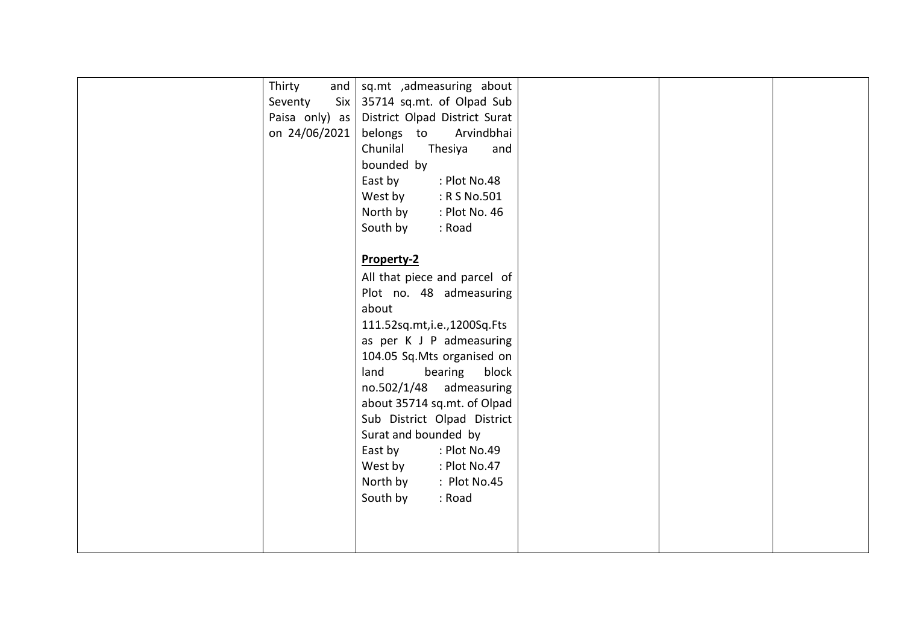| Thirty<br>and  | sq.mt ,admeasuring about      |  |  |
|----------------|-------------------------------|--|--|
| Seventy<br>Six | 35714 sq.mt. of Olpad Sub     |  |  |
| Paisa only) as | District Olpad District Surat |  |  |
| on 24/06/2021  | belongs to<br>Arvindbhai      |  |  |
|                | Chunilal<br>Thesiya<br>and    |  |  |
|                | bounded by                    |  |  |
|                | East by<br>: Plot No.48       |  |  |
|                | West by<br>: R S No.501       |  |  |
|                | North by<br>: Plot No. 46     |  |  |
|                | South by<br>: Road            |  |  |
|                |                               |  |  |
|                | Property-2                    |  |  |
|                | All that piece and parcel of  |  |  |
|                | Plot no. 48 admeasuring       |  |  |
|                | about                         |  |  |
|                | 111.52sq.mt,i.e.,1200Sq.Fts   |  |  |
|                | as per K J P admeasuring      |  |  |
|                | 104.05 Sq.Mts organised on    |  |  |
|                | land<br>bearing block         |  |  |
|                | no.502/1/48 admeasuring       |  |  |
|                | about 35714 sq.mt. of Olpad   |  |  |
|                | Sub District Olpad District   |  |  |
|                | Surat and bounded by          |  |  |
|                | East by<br>: Plot No.49       |  |  |
|                | West by<br>: Plot No.47       |  |  |
|                | North by<br>: Plot No.45      |  |  |
|                | South by<br>: Road            |  |  |
|                |                               |  |  |
|                |                               |  |  |
|                |                               |  |  |
|                |                               |  |  |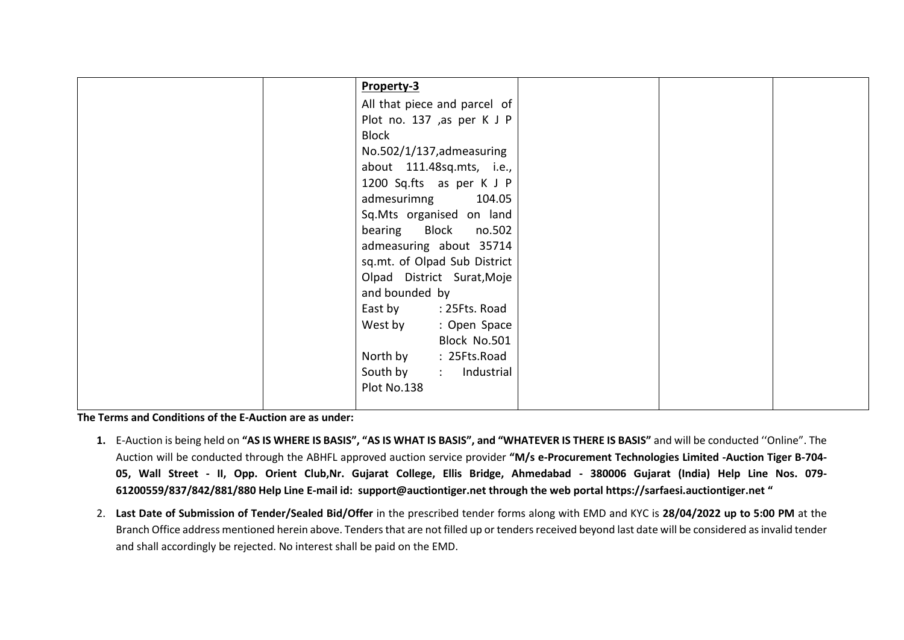|  | Property-3                   |  |  |
|--|------------------------------|--|--|
|  | All that piece and parcel of |  |  |
|  | Plot no. 137 ,as per K J P   |  |  |
|  | <b>Block</b>                 |  |  |
|  | No.502/1/137, admeasuring    |  |  |
|  | about 111.48sq.mts, i.e.,    |  |  |
|  | 1200 Sq.fts as per K J P     |  |  |
|  | admesurimng 104.05           |  |  |
|  | Sq.Mts organised on land     |  |  |
|  | bearing Block no.502         |  |  |
|  | admeasuring about 35714      |  |  |
|  | sq.mt. of Olpad Sub District |  |  |
|  | Olpad District Surat, Moje   |  |  |
|  | and bounded by               |  |  |
|  | East by : 25Fts. Road        |  |  |
|  | West by<br>: Open Space      |  |  |
|  | Block No.501                 |  |  |
|  | North by<br>: 25Fts.Road     |  |  |
|  | South by<br>: Industrial     |  |  |
|  | Plot No.138                  |  |  |
|  |                              |  |  |

**The Terms and Conditions of the E-Auction are as under:** 

- **1.** E-Auction is being held on **"AS IS WHERE IS BASIS", "AS IS WHAT IS BASIS", and "WHATEVER IS THERE IS BASIS"** and will be conducted ''Online". The Auction will be conducted through the ABHFL approved auction service provider **"M/s e-Procurement Technologies Limited -Auction Tiger B-704- 05, Wall Street - II, Opp. Orient Club,Nr. Gujarat College, Ellis Bridge, Ahmedabad - 380006 Gujarat (India) Help Line Nos. 079- 61200559/837/842/881/880 Help Line E-mail id: [support@auctiontiger.net](mailto:support@auctiontiger.net) through the web portal [https://sarfaesi.auctiontiger.net](https://sarfaesi.auctiontiger.net/) "**
- 2. **Last Date of Submission of Tender/Sealed Bid/Offer** in the prescribed tender forms along with EMD and KYC is **28/04/2022 up to 5:00 PM** at the Branch Office address mentioned herein above. Tenders that are not filled up or tenders received beyond last date will be considered as invalid tender and shall accordingly be rejected. No interest shall be paid on the EMD.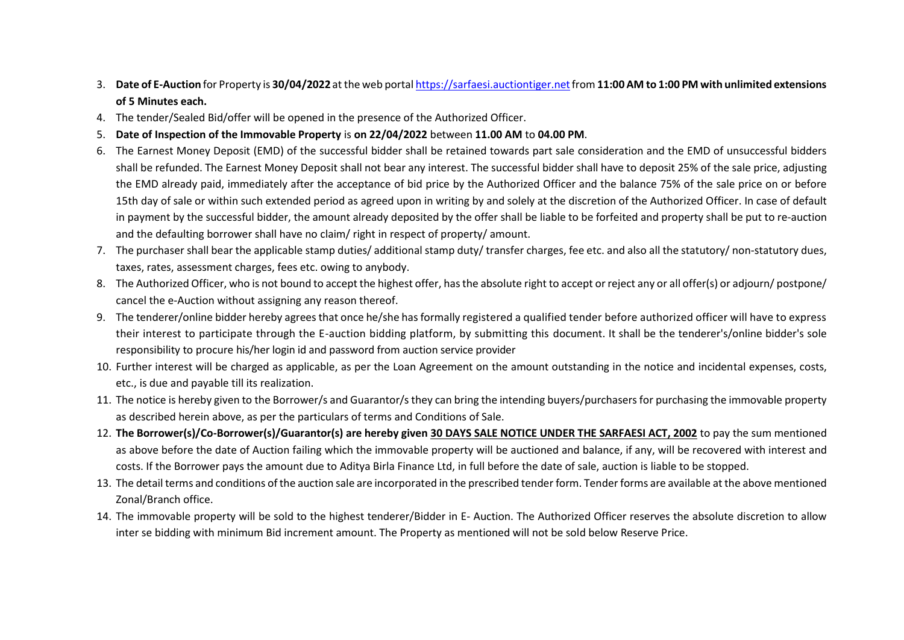- 3. **Date of E-Auction** for Property is **30/04/2022** at the web porta[l https://sarfaesi.auctiontiger.netf](https://sarfaesi.auctiontiger.net/)rom **11:00 AM to 1:00 PM with unlimited extensions of 5 Minutes each.**
- 4. The tender/Sealed Bid/offer will be opened in the presence of the Authorized Officer.
- 5. **Date of Inspection of the Immovable Property** is **on 22/04/2022** between **11.00 AM** to **04.00 PM**.
- 6. The Earnest Money Deposit (EMD) of the successful bidder shall be retained towards part sale consideration and the EMD of unsuccessful bidders shall be refunded. The Earnest Money Deposit shall not bear any interest. The successful bidder shall have to deposit 25% of the sale price, adjusting the EMD already paid, immediately after the acceptance of bid price by the Authorized Officer and the balance 75% of the sale price on or before 15th day of sale or within such extended period as agreed upon in writing by and solely at the discretion of the Authorized Officer. In case of default in payment by the successful bidder, the amount already deposited by the offer shall be liable to be forfeited and property shall be put to re-auction and the defaulting borrower shall have no claim/ right in respect of property/ amount.
- 7. The purchaser shall bear the applicable stamp duties/ additional stamp duty/ transfer charges, fee etc. and also all the statutory/ non-statutory dues, taxes, rates, assessment charges, fees etc. owing to anybody.
- 8. The Authorized Officer, who is not bound to accept the highest offer, has the absolute right to accept or reject any or all offer(s) or adjourn/ postpone/ cancel the e-Auction without assigning any reason thereof.
- 9. The tenderer/online bidder hereby agrees that once he/she has formally registered a qualified tender before authorized officer will have to express their interest to participate through the E-auction bidding platform, by submitting this document. It shall be the tenderer's/online bidder's sole responsibility to procure his/her login id and password from auction service provider
- 10. Further interest will be charged as applicable, as per the Loan Agreement on the amount outstanding in the notice and incidental expenses, costs, etc., is due and payable till its realization.
- 11. The notice is hereby given to the Borrower/s and Guarantor/s they can bring the intending buyers/purchasers for purchasing the immovable property as described herein above, as per the particulars of terms and Conditions of Sale.
- 12. **The Borrower(s)/Co-Borrower(s)/Guarantor(s) are hereby given 30 DAYS SALE NOTICE UNDER THE SARFAESI ACT, 2002** to pay the sum mentioned as above before the date of Auction failing which the immovable property will be auctioned and balance, if any, will be recovered with interest and costs. If the Borrower pays the amount due to Aditya Birla Finance Ltd, in full before the date of sale, auction is liable to be stopped.
- 13. The detail terms and conditions of the auction sale are incorporated in the prescribed tender form. Tender forms are available at the above mentioned Zonal/Branch office.
- 14. The immovable property will be sold to the highest tenderer/Bidder in E- Auction. The Authorized Officer reserves the absolute discretion to allow inter se bidding with minimum Bid increment amount. The Property as mentioned will not be sold below Reserve Price.